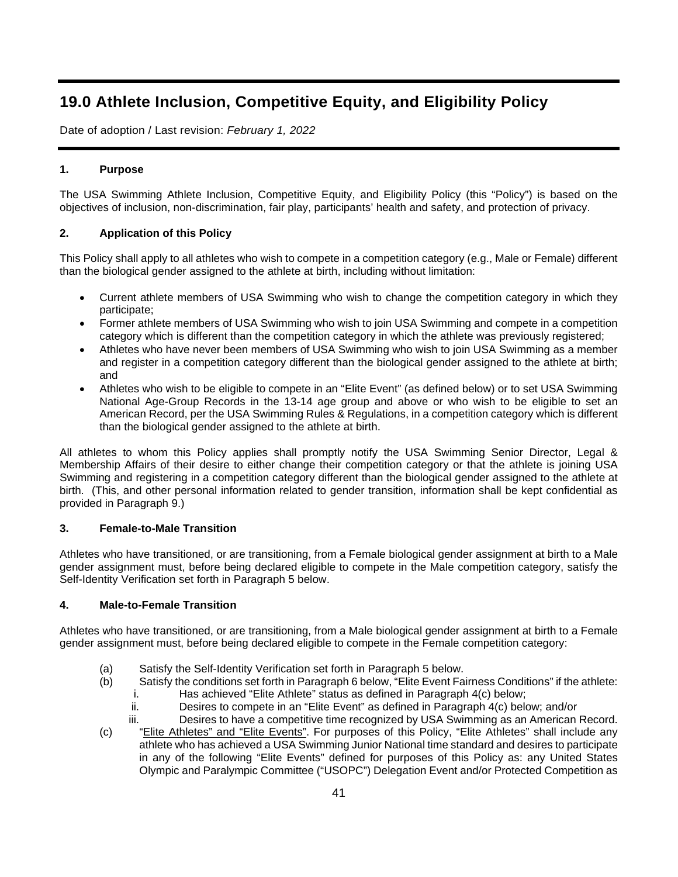# **19.0 Athlete Inclusion, Competitive Equity, and Eligibility Policy**

Date of adoption / Last revision: *February 1, 2022*

# **1. Purpose**

The USA Swimming Athlete Inclusion, Competitive Equity, and Eligibility Policy (this "Policy") is based on the objectives of inclusion, non-discrimination, fair play, participants' health and safety, and protection of privacy.

# **2. Application of this Policy**

This Policy shall apply to all athletes who wish to compete in a competition category (e.g., Male or Female) different than the biological gender assigned to the athlete at birth, including without limitation:

- Current athlete members of USA Swimming who wish to change the competition category in which they participate;
- Former athlete members of USA Swimming who wish to join USA Swimming and compete in a competition category which is different than the competition category in which the athlete was previously registered;
- Athletes who have never been members of USA Swimming who wish to join USA Swimming as a member and register in a competition category different than the biological gender assigned to the athlete at birth; and
- Athletes who wish to be eligible to compete in an "Elite Event" (as defined below) or to set USA Swimming National Age-Group Records in the 13-14 age group and above or who wish to be eligible to set an American Record, per the USA Swimming Rules & Regulations, in a competition category which is different than the biological gender assigned to the athlete at birth.

All athletes to whom this Policy applies shall promptly notify the USA Swimming Senior Director, Legal & Membership Affairs of their desire to either change their competition category or that the athlete is joining USA Swimming and registering in a competition category different than the biological gender assigned to the athlete at birth. (This, and other personal information related to gender transition, information shall be kept confidential as provided in Paragraph 9.)

# **3. Female-to-Male Transition**

Athletes who have transitioned, or are transitioning, from a Female biological gender assignment at birth to a Male gender assignment must, before being declared eligible to compete in the Male competition category, satisfy the Self-Identity Verification set forth in Paragraph 5 below.

# **4. Male-to-Female Transition**

Athletes who have transitioned, or are transitioning, from a Male biological gender assignment at birth to a Female gender assignment must, before being declared eligible to compete in the Female competition category:

- (a) Satisfy the Self-Identity Verification set forth in Paragraph 5 below.
- (b) Satisfy the conditions set forth in Paragraph 6 below, "Elite Event Fairness Conditions" if the athlete:
	- Has achieved "Elite Athlete" status as defined in Paragraph 4(c) below;
	- $ii.$  Desires to compete in an "Elite Event" as defined in Paragraph  $4(c)$  below; and/or
	- iii. Desires to have a competitive time recognized by USA Swimming as an American Record.
- (c) "Elite Athletes" and "Elite Events". For purposes of this Policy, "Elite Athletes" shall include any athlete who has achieved a USA Swimming Junior National time standard and desires to participate in any of the following "Elite Events" defined for purposes of this Policy as: any United States Olympic and Paralympic Committee ("USOPC") Delegation Event and/or Protected Competition as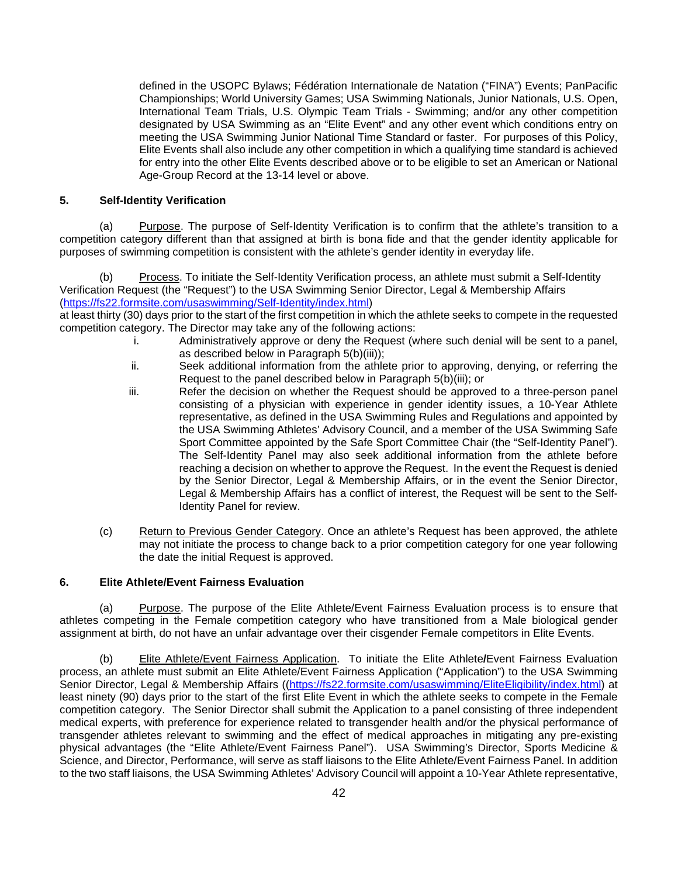defined in the USOPC Bylaws; Fédération Internationale de Natation ("FINA") Events; PanPacific Championships; World University Games; USA Swimming Nationals, Junior Nationals, U.S. Open, International Team Trials, U.S. Olympic Team Trials - Swimming; and/or any other competition designated by USA Swimming as an "Elite Event" and any other event which conditions entry on meeting the USA Swimming Junior National Time Standard or faster. For purposes of this Policy, Elite Events shall also include any other competition in which a qualifying time standard is achieved for entry into the other Elite Events described above or to be eligible to set an American or National Age-Group Record at the 13-14 level or above.

#### **5. Self-Identity Verification**

(a) Purpose. The purpose of Self-Identity Verification is to confirm that the athlete's transition to a competition category different than that assigned at birth is bona fide and that the gender identity applicable for purposes of swimming competition is consistent with the athlete's gender identity in everyday life.

Process. To initiate the Self-Identity Verification process, an athlete must submit a Self-Identity Verification Request (the "Request") to the USA Swimming Senior Director, Legal & Membership Affairs [\(https://fs22.formsite.com/usaswimming/Self-Identity/index.html\)](https://fs22.formsite.com/usaswimming/Self-Identity/index.html)

at least thirty (30) days prior to the start of the first competition in which the athlete seeks to compete in the requested competition category. The Director may take any of the following actions:

- i. Administratively approve or deny the Request (where such denial will be sent to a panel, as described below in Paragraph 5(b)(iii));
- ii. Seek additional information from the athlete prior to approving, denying, or referring the Request to the panel described below in Paragraph 5(b)(iii); or
- iii. Refer the decision on whether the Request should be approved to a three-person panel consisting of a physician with experience in gender identity issues, a 10-Year Athlete representative, as defined in the USA Swimming Rules and Regulations and appointed by the USA Swimming Athletes' Advisory Council, and a member of the USA Swimming Safe Sport Committee appointed by the Safe Sport Committee Chair (the "Self-Identity Panel"). The Self-Identity Panel may also seek additional information from the athlete before reaching a decision on whether to approve the Request. In the event the Request is denied by the Senior Director, Legal & Membership Affairs, or in the event the Senior Director, Legal & Membership Affairs has a conflict of interest, the Request will be sent to the Self-Identity Panel for review.
- (c) Return to Previous Gender Category. Once an athlete's Request has been approved, the athlete may not initiate the process to change back to a prior competition category for one year following the date the initial Request is approved.

# **6. Elite Athlete/Event Fairness Evaluation**

(a) Purpose. The purpose of the Elite Athlete/Event Fairness Evaluation process is to ensure that athletes competing in the Female competition category who have transitioned from a Male biological gender assignment at birth, do not have an unfair advantage over their cisgender Female competitors in Elite Events.

(b) Elite Athlete/Event Fairness Application. To initiate the Elite Athlete**/**Event Fairness Evaluation process, an athlete must submit an Elite Athlete/Event Fairness Application ("Application") to the USA Swimming Senior Director, Legal & Membership Affairs ([\(https://fs22.formsite.com/usaswimming/EliteEligibility/index.html\)](https://fs22.formsite.com/usaswimming/EliteEligibility/index.html) at least ninety (90) days prior to the start of the first Elite Event in which the athlete seeks to compete in the Female competition category. The Senior Director shall submit the Application to a panel consisting of three independent medical experts, with preference for experience related to transgender health and/or the physical performance of transgender athletes relevant to swimming and the effect of medical approaches in mitigating any pre-existing physical advantages (the "Elite Athlete/Event Fairness Panel"). USA Swimming's Director, Sports Medicine & Science, and Director, Performance, will serve as staff liaisons to the Elite Athlete/Event Fairness Panel. In addition to the two staff liaisons, the USA Swimming Athletes' Advisory Council will appoint a 10-Year Athlete representative,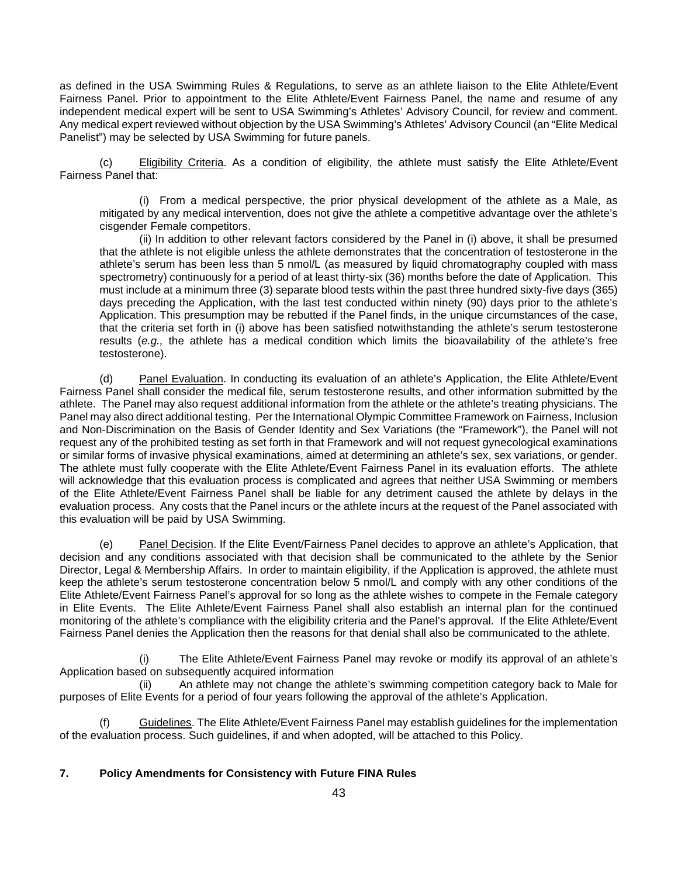as defined in the USA Swimming Rules & Regulations, to serve as an athlete liaison to the Elite Athlete/Event Fairness Panel. Prior to appointment to the Elite Athlete/Event Fairness Panel, the name and resume of any independent medical expert will be sent to USA Swimming's Athletes' Advisory Council, for review and comment. Any medical expert reviewed without objection by the USA Swimming's Athletes' Advisory Council (an "Elite Medical Panelist") may be selected by USA Swimming for future panels.

(c) Eligibility Criteria. As a condition of eligibility, the athlete must satisfy the Elite Athlete/Event Fairness Panel that:

(i) From a medical perspective, the prior physical development of the athlete as a Male, as mitigated by any medical intervention, does not give the athlete a competitive advantage over the athlete's cisgender Female competitors.

(ii) In addition to other relevant factors considered by the Panel in (i) above, it shall be presumed that the athlete is not eligible unless the athlete demonstrates that the concentration of testosterone in the athlete's serum has been less than 5 nmol/L (as measured by liquid chromatography coupled with mass spectrometry) continuously for a period of at least thirty-six (36) months before the date of Application. This must include at a minimum three (3) separate blood tests within the past three hundred sixty-five days (365) days preceding the Application, with the last test conducted within ninety (90) days prior to the athlete's Application. This presumption may be rebutted if the Panel finds, in the unique circumstances of the case, that the criteria set forth in (i) above has been satisfied notwithstanding the athlete's serum testosterone results (*e.g.,* the athlete has a medical condition which limits the bioavailability of the athlete's free testosterone).

(d) Panel Evaluation. In conducting its evaluation of an athlete's Application, the Elite Athlete/Event Fairness Panel shall consider the medical file, serum testosterone results, and other information submitted by the athlete. The Panel may also request additional information from the athlete or the athlete's treating physicians. The Panel may also direct additional testing. Per the International Olympic Committee Framework on Fairness, Inclusion and Non-Discrimination on the Basis of Gender Identity and Sex Variations (the "Framework"), the Panel will not request any of the prohibited testing as set forth in that Framework and will not request gynecological examinations or similar forms of invasive physical examinations, aimed at determining an athlete's sex, sex variations, or gender. The athlete must fully cooperate with the Elite Athlete/Event Fairness Panel in its evaluation efforts. The athlete will acknowledge that this evaluation process is complicated and agrees that neither USA Swimming or members of the Elite Athlete/Event Fairness Panel shall be liable for any detriment caused the athlete by delays in the evaluation process. Any costs that the Panel incurs or the athlete incurs at the request of the Panel associated with this evaluation will be paid by USA Swimming.

(e) Panel Decision. If the Elite Event/Fairness Panel decides to approve an athlete's Application, that decision and any conditions associated with that decision shall be communicated to the athlete by the Senior Director, Legal & Membership Affairs. In order to maintain eligibility, if the Application is approved, the athlete must keep the athlete's serum testosterone concentration below 5 nmol/L and comply with any other conditions of the Elite Athlete/Event Fairness Panel's approval for so long as the athlete wishes to compete in the Female category in Elite Events. The Elite Athlete/Event Fairness Panel shall also establish an internal plan for the continued monitoring of the athlete's compliance with the eligibility criteria and the Panel's approval. If the Elite Athlete/Event Fairness Panel denies the Application then the reasons for that denial shall also be communicated to the athlete.

The Elite Athlete/Event Fairness Panel may revoke or modify its approval of an athlete's Application based on subsequently acquired information

An athlete may not change the athlete's swimming competition category back to Male for purposes of Elite Events for a period of four years following the approval of the athlete's Application.

(f) Guidelines. The Elite Athlete/Event Fairness Panel may establish guidelines for the implementation of the evaluation process. Such guidelines, if and when adopted, will be attached to this Policy.

#### **7. Policy Amendments for Consistency with Future FINA Rules**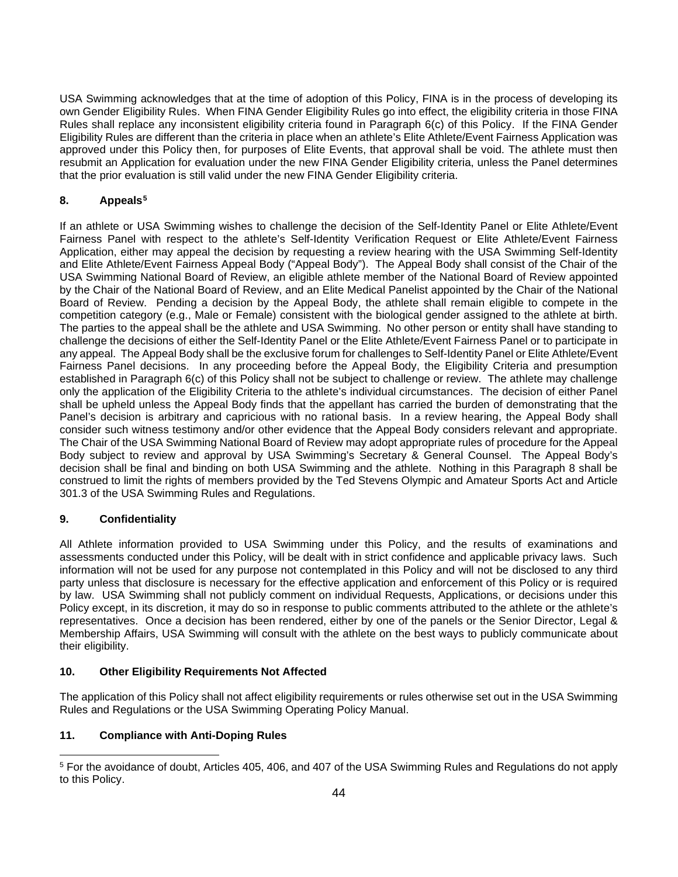USA Swimming acknowledges that at the time of adoption of this Policy, FINA is in the process of developing its own Gender Eligibility Rules. When FINA Gender Eligibility Rules go into effect, the eligibility criteria in those FINA Rules shall replace any inconsistent eligibility criteria found in Paragraph 6(c) of this Policy. If the FINA Gender Eligibility Rules are different than the criteria in place when an athlete's Elite Athlete/Event Fairness Application was approved under this Policy then, for purposes of Elite Events, that approval shall be void. The athlete must then resubmit an Application for evaluation under the new FINA Gender Eligibility criteria, unless the Panel determines that the prior evaluation is still valid under the new FINA Gender Eligibility criteria.

# **8. Appeals[5](#page-3-0)**

If an athlete or USA Swimming wishes to challenge the decision of the Self-Identity Panel or Elite Athlete/Event Fairness Panel with respect to the athlete's Self-Identity Verification Request or Elite Athlete/Event Fairness Application, either may appeal the decision by requesting a review hearing with the USA Swimming Self-Identity and Elite Athlete/Event Fairness Appeal Body ("Appeal Body"). The Appeal Body shall consist of the Chair of the USA Swimming National Board of Review, an eligible athlete member of the National Board of Review appointed by the Chair of the National Board of Review, and an Elite Medical Panelist appointed by the Chair of the National Board of Review. Pending a decision by the Appeal Body, the athlete shall remain eligible to compete in the competition category (e.g., Male or Female) consistent with the biological gender assigned to the athlete at birth. The parties to the appeal shall be the athlete and USA Swimming. No other person or entity shall have standing to challenge the decisions of either the Self-Identity Panel or the Elite Athlete/Event Fairness Panel or to participate in any appeal. The Appeal Body shall be the exclusive forum for challenges to Self-Identity Panel or Elite Athlete/Event Fairness Panel decisions. In any proceeding before the Appeal Body, the Eligibility Criteria and presumption established in Paragraph 6(c) of this Policy shall not be subject to challenge or review. The athlete may challenge only the application of the Eligibility Criteria to the athlete's individual circumstances. The decision of either Panel shall be upheld unless the Appeal Body finds that the appellant has carried the burden of demonstrating that the Panel's decision is arbitrary and capricious with no rational basis. In a review hearing, the Appeal Body shall consider such witness testimony and/or other evidence that the Appeal Body considers relevant and appropriate. The Chair of the USA Swimming National Board of Review may adopt appropriate rules of procedure for the Appeal Body subject to review and approval by USA Swimming's Secretary & General Counsel. The Appeal Body's decision shall be final and binding on both USA Swimming and the athlete. Nothing in this Paragraph 8 shall be construed to limit the rights of members provided by the Ted Stevens Olympic and Amateur Sports Act and Article 301.3 of the USA Swimming Rules and Regulations.

# **9. Confidentiality**

All Athlete information provided to USA Swimming under this Policy, and the results of examinations and assessments conducted under this Policy, will be dealt with in strict confidence and applicable privacy laws. Such information will not be used for any purpose not contemplated in this Policy and will not be disclosed to any third party unless that disclosure is necessary for the effective application and enforcement of this Policy or is required by law. USA Swimming shall not publicly comment on individual Requests, Applications, or decisions under this Policy except, in its discretion, it may do so in response to public comments attributed to the athlete or the athlete's representatives. Once a decision has been rendered, either by one of the panels or the Senior Director, Legal & Membership Affairs, USA Swimming will consult with the athlete on the best ways to publicly communicate about their eligibility.

# **10. Other Eligibility Requirements Not Affected**

The application of this Policy shall not affect eligibility requirements or rules otherwise set out in the USA Swimming Rules and Regulations or the USA Swimming Operating Policy Manual.

# **11. Compliance with Anti-Doping Rules**

<span id="page-3-0"></span><sup>5</sup> For the avoidance of doubt, Articles 405, 406, and 407 of the USA Swimming Rules and Regulations do not apply to this Policy.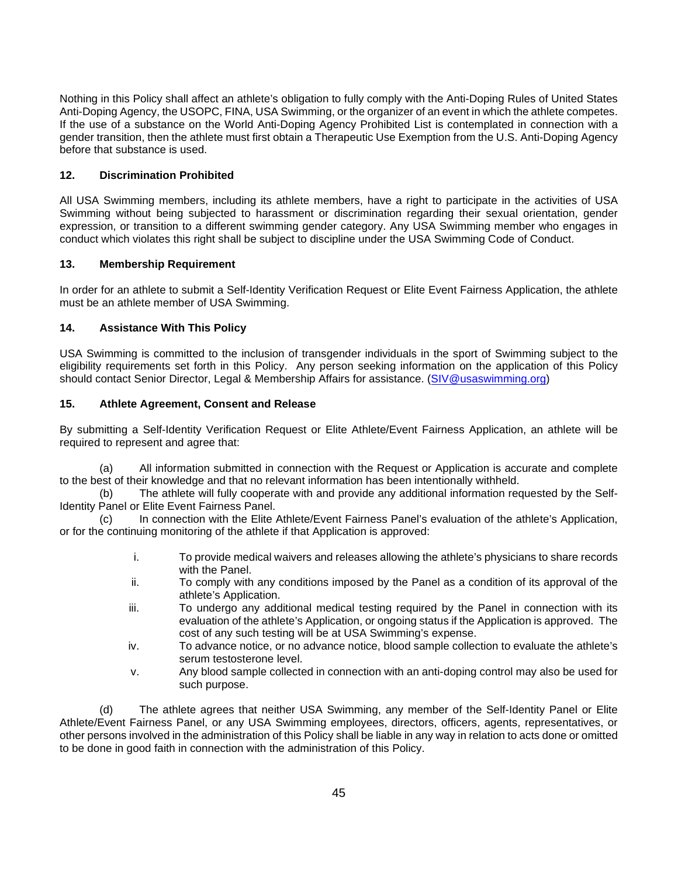Nothing in this Policy shall affect an athlete's obligation to fully comply with the Anti-Doping Rules of United States Anti-Doping Agency, the USOPC, FINA, USA Swimming, or the organizer of an event in which the athlete competes. If the use of a substance on the World Anti-Doping Agency Prohibited List is contemplated in connection with a gender transition, then the athlete must first obtain a Therapeutic Use Exemption from the U.S. Anti-Doping Agency before that substance is used.

## **12. Discrimination Prohibited**

All USA Swimming members, including its athlete members, have a right to participate in the activities of USA Swimming without being subjected to harassment or discrimination regarding their sexual orientation, gender expression, or transition to a different swimming gender category. Any USA Swimming member who engages in conduct which violates this right shall be subject to discipline under the USA Swimming Code of Conduct.

### **13. Membership Requirement**

In order for an athlete to submit a Self-Identity Verification Request or Elite Event Fairness Application, the athlete must be an athlete member of USA Swimming.

### **14. Assistance With This Policy**

USA Swimming is committed to the inclusion of transgender individuals in the sport of Swimming subject to the eligibility requirements set forth in this Policy. Any person seeking information on the application of this Policy should contact Senior Director, Legal & Membership Affairs for assistance. [\(SIV@usaswimming.org\)](mailto:SIV@usaswimming.org)

# **15. Athlete Agreement, Consent and Release**

By submitting a Self-Identity Verification Request or Elite Athlete/Event Fairness Application, an athlete will be required to represent and agree that:

(a) All information submitted in connection with the Request or Application is accurate and complete to the best of their knowledge and that no relevant information has been intentionally withheld.

(b) The athlete will fully cooperate with and provide any additional information requested by the Self-Identity Panel or Elite Event Fairness Panel.

(c) In connection with the Elite Athlete/Event Fairness Panel's evaluation of the athlete's Application, or for the continuing monitoring of the athlete if that Application is approved:

- i. To provide medical waivers and releases allowing the athlete's physicians to share records with the Panel.
- ii. To comply with any conditions imposed by the Panel as a condition of its approval of the athlete's Application.
- iii. To undergo any additional medical testing required by the Panel in connection with its evaluation of the athlete's Application, or ongoing status if the Application is approved. The cost of any such testing will be at USA Swimming's expense.
- iv. To advance notice, or no advance notice, blood sample collection to evaluate the athlete's serum testosterone level.
- v. Any blood sample collected in connection with an anti-doping control may also be used for such purpose.

(d) The athlete agrees that neither USA Swimming, any member of the Self-Identity Panel or Elite Athlete/Event Fairness Panel, or any USA Swimming employees, directors, officers, agents, representatives, or other persons involved in the administration of this Policy shall be liable in any way in relation to acts done or omitted to be done in good faith in connection with the administration of this Policy.